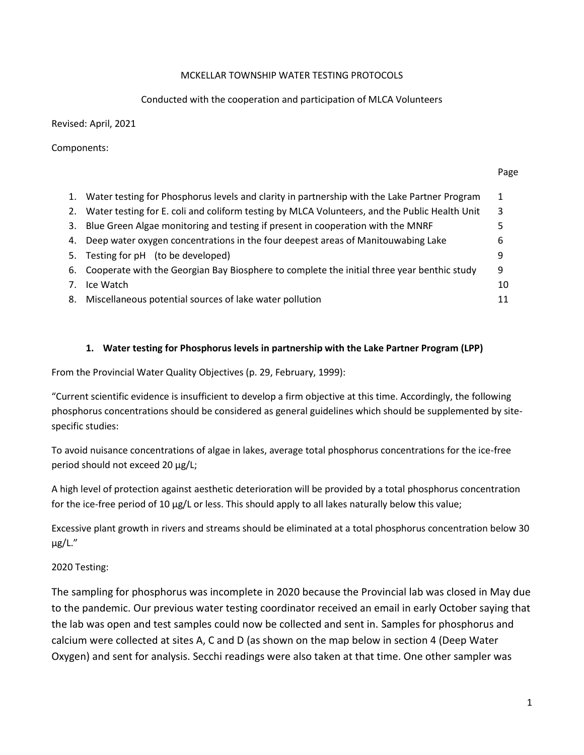### MCKELLAR TOWNSHIP WATER TESTING PROTOCOLS

### Conducted with the cooperation and participation of MLCA Volunteers

Revised: April, 2021

Components:

#### Page

| 1. | Water testing for Phosphorus levels and clarity in partnership with the Lake Partner Program  |    |  |  |  |  |  |
|----|-----------------------------------------------------------------------------------------------|----|--|--|--|--|--|
| 2. | Water testing for E. coli and coliform testing by MLCA Volunteers, and the Public Health Unit |    |  |  |  |  |  |
| 3. | Blue Green Algae monitoring and testing if present in cooperation with the MNRF               |    |  |  |  |  |  |
| 4. | Deep water oxygen concentrations in the four deepest areas of Manitouwabing Lake              | b  |  |  |  |  |  |
|    | 5. Testing for pH (to be developed)                                                           | q  |  |  |  |  |  |
|    | 6. Cooperate with the Georgian Bay Biosphere to complete the initial three year benthic study | 9  |  |  |  |  |  |
| 7. | Ice Watch                                                                                     | 10 |  |  |  |  |  |
| 8. | Miscellaneous potential sources of lake water pollution                                       | 11 |  |  |  |  |  |

## **1. Water testing for Phosphorus levels in partnership with the Lake Partner Program (LPP)**

From the Provincial Water Quality Objectives (p. 29, February, 1999):

"Current scientific evidence is insufficient to develop a firm objective at this time. Accordingly, the following phosphorus concentrations should be considered as general guidelines which should be supplemented by sitespecific studies:

To avoid nuisance concentrations of algae in lakes, average total phosphorus concentrations for the ice-free period should not exceed 20 µg/L;

A high level of protection against aesthetic deterioration will be provided by a total phosphorus concentration for the ice-free period of 10 µg/L or less. This should apply to all lakes naturally below this value;

Excessive plant growth in rivers and streams should be eliminated at a total phosphorus concentration below 30 µg/L."

## 2020 Testing:

The sampling for phosphorus was incomplete in 2020 because the Provincial lab was closed in May due to the pandemic. Our previous water testing coordinator received an email in early October saying that the lab was open and test samples could now be collected and sent in. Samples for phosphorus and calcium were collected at sites A, C and D (as shown on the map below in section 4 (Deep Water Oxygen) and sent for analysis. Secchi readings were also taken at that time. One other sampler was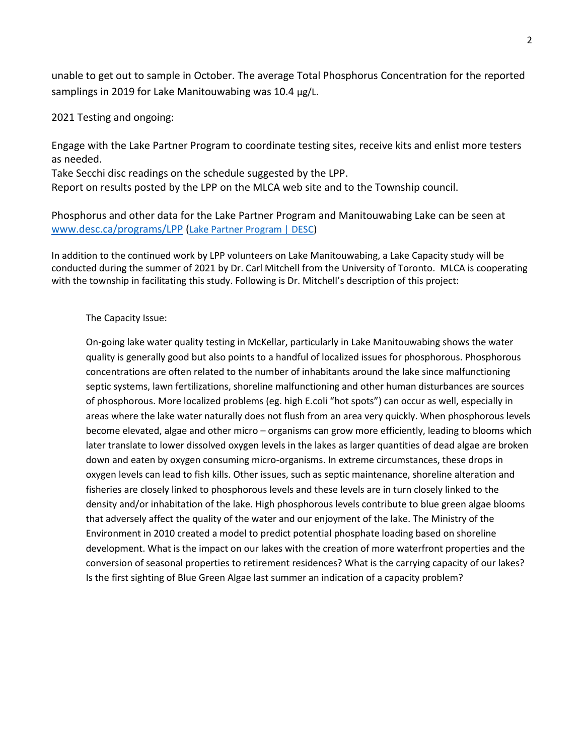unable to get out to sample in October. The average Total Phosphorus Concentration for the reported samplings in 2019 for Lake Manitouwabing was 10.4 µg/L.

2021 Testing and ongoing:

Engage with the Lake Partner Program to coordinate testing sites, receive kits and enlist more testers as needed.

Take Secchi disc readings on the schedule suggested by the LPP.

Report on results posted by the LPP on the MLCA web site and to the Township council.

Phosphorus and other data for the Lake Partner Program and Manitouwabing Lake can be seen at [www.desc.ca/programs/LPP](http://www.desc.ca/programs/LPP) ([Lake Partner Program | DESC\)](http://www.desc.ca/programs/LPP)

In addition to the continued work by LPP volunteers on Lake Manitouwabing, a Lake Capacity study will be conducted during the summer of 2021 by Dr. Carl Mitchell from the University of Toronto. MLCA is cooperating with the township in facilitating this study. Following is Dr. Mitchell's description of this project:

#### The Capacity Issue:

On-going lake water quality testing in McKellar, particularly in Lake Manitouwabing shows the water quality is generally good but also points to a handful of localized issues for phosphorous. Phosphorous concentrations are often related to the number of inhabitants around the lake since malfunctioning septic systems, lawn fertilizations, shoreline malfunctioning and other human disturbances are sources of phosphorous. More localized problems (eg. high E.coli "hot spots") can occur as well, especially in areas where the lake water naturally does not flush from an area very quickly. When phosphorous levels become elevated, algae and other micro – organisms can grow more efficiently, leading to blooms which later translate to lower dissolved oxygen levels in the lakes as larger quantities of dead algae are broken down and eaten by oxygen consuming micro-organisms. In extreme circumstances, these drops in oxygen levels can lead to fish kills. Other issues, such as septic maintenance, shoreline alteration and fisheries are closely linked to phosphorous levels and these levels are in turn closely linked to the density and/or inhabitation of the lake. High phosphorous levels contribute to blue green algae blooms that adversely affect the quality of the water and our enjoyment of the lake. The Ministry of the Environment in 2010 created a model to predict potential phosphate loading based on shoreline development. What is the impact on our lakes with the creation of more waterfront properties and the conversion of seasonal properties to retirement residences? What is the carrying capacity of our lakes? Is the first sighting of Blue Green Algae last summer an indication of a capacity problem?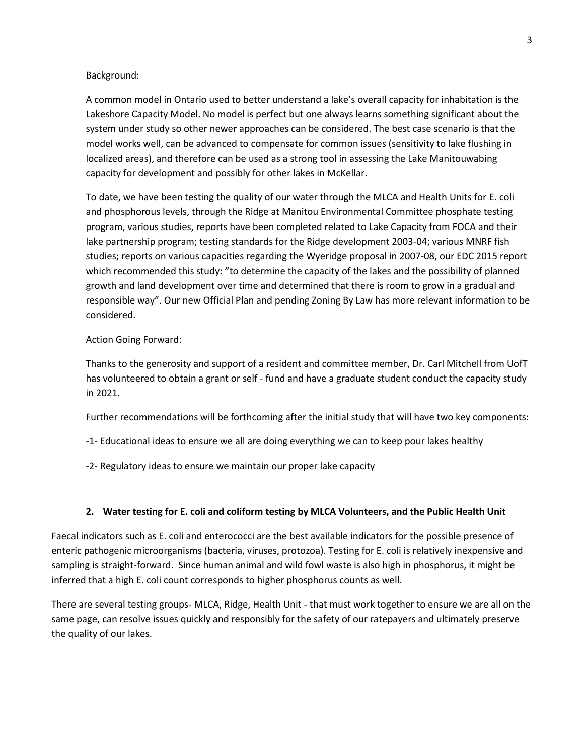#### Background:

A common model in Ontario used to better understand a lake's overall capacity for inhabitation is the Lakeshore Capacity Model. No model is perfect but one always learns something significant about the system under study so other newer approaches can be considered. The best case scenario is that the model works well, can be advanced to compensate for common issues (sensitivity to lake flushing in localized areas), and therefore can be used as a strong tool in assessing the Lake Manitouwabing capacity for development and possibly for other lakes in McKellar.

To date, we have been testing the quality of our water through the MLCA and Health Units for E. coli and phosphorous levels, through the Ridge at Manitou Environmental Committee phosphate testing program, various studies, reports have been completed related to Lake Capacity from FOCA and their lake partnership program; testing standards for the Ridge development 2003-04; various MNRF fish studies; reports on various capacities regarding the Wyeridge proposal in 2007-08, our EDC 2015 report which recommended this study: "to determine the capacity of the lakes and the possibility of planned growth and land development over time and determined that there is room to grow in a gradual and responsible way". Our new Official Plan and pending Zoning By Law has more relevant information to be considered.

#### Action Going Forward:

Thanks to the generosity and support of a resident and committee member, Dr. Carl Mitchell from UofT has volunteered to obtain a grant or self - fund and have a graduate student conduct the capacity study in 2021.

Further recommendations will be forthcoming after the initial study that will have two key components:

- -1- Educational ideas to ensure we all are doing everything we can to keep pour lakes healthy
- -2- Regulatory ideas to ensure we maintain our proper lake capacity

#### **2. Water testing for E. coli and coliform testing by MLCA Volunteers, and the Public Health Unit**

Faecal indicators such as E. coli and enterococci are the best available indicators for the possible presence of enteric pathogenic microorganisms (bacteria, viruses, protozoa). Testing for E. coli is relatively inexpensive and sampling is straight-forward. Since human animal and wild fowl waste is also high in phosphorus, it might be inferred that a high E. coli count corresponds to higher phosphorus counts as well.

There are several testing groups- MLCA, Ridge, Health Unit - that must work together to ensure we are all on the same page, can resolve issues quickly and responsibly for the safety of our ratepayers and ultimately preserve the quality of our lakes.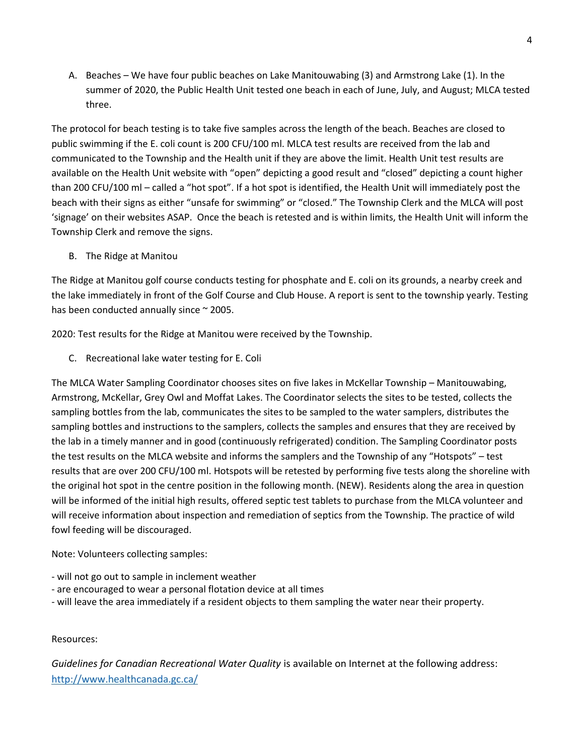A. Beaches – We have four public beaches on Lake Manitouwabing (3) and Armstrong Lake (1). In the summer of 2020, the Public Health Unit tested one beach in each of June, July, and August; MLCA tested three.

The protocol for beach testing is to take five samples across the length of the beach. Beaches are closed to public swimming if the E. coli count is 200 CFU/100 ml. MLCA test results are received from the lab and communicated to the Township and the Health unit if they are above the limit. Health Unit test results are available on the Health Unit website with "open" depicting a good result and "closed" depicting a count higher than 200 CFU/100 ml – called a "hot spot". If a hot spot is identified, the Health Unit will immediately post the beach with their signs as either "unsafe for swimming" or "closed." The Township Clerk and the MLCA will post 'signage' on their websites ASAP. Once the beach is retested and is within limits, the Health Unit will inform the Township Clerk and remove the signs.

B. The Ridge at Manitou

The Ridge at Manitou golf course conducts testing for phosphate and E. coli on its grounds, a nearby creek and the lake immediately in front of the Golf Course and Club House. A report is sent to the township yearly. Testing has been conducted annually since ~ 2005.

2020: Test results for the Ridge at Manitou were received by the Township.

C. Recreational lake water testing for E. Coli

The MLCA Water Sampling Coordinator chooses sites on five lakes in McKellar Township – Manitouwabing, Armstrong, McKellar, Grey Owl and Moffat Lakes. The Coordinator selects the sites to be tested, collects the sampling bottles from the lab, communicates the sites to be sampled to the water samplers, distributes the sampling bottles and instructions to the samplers, collects the samples and ensures that they are received by the lab in a timely manner and in good (continuously refrigerated) condition. The Sampling Coordinator posts the test results on the MLCA website and informs the samplers and the Township of any "Hotspots" – test results that are over 200 CFU/100 ml. Hotspots will be retested by performing five tests along the shoreline with the original hot spot in the centre position in the following month. (NEW). Residents along the area in question will be informed of the initial high results, offered septic test tablets to purchase from the MLCA volunteer and will receive information about inspection and remediation of septics from the Township. The practice of wild fowl feeding will be discouraged.

Note: Volunteers collecting samples:

- will not go out to sample in inclement weather
- are encouraged to wear a personal flotation device at all times
- will leave the area immediately if a resident objects to them sampling the water near their property.

### Resources:

*Guidelines for Canadian Recreational Water Quality* is available on Internet at the following address: <http://www.healthcanada.gc.ca/>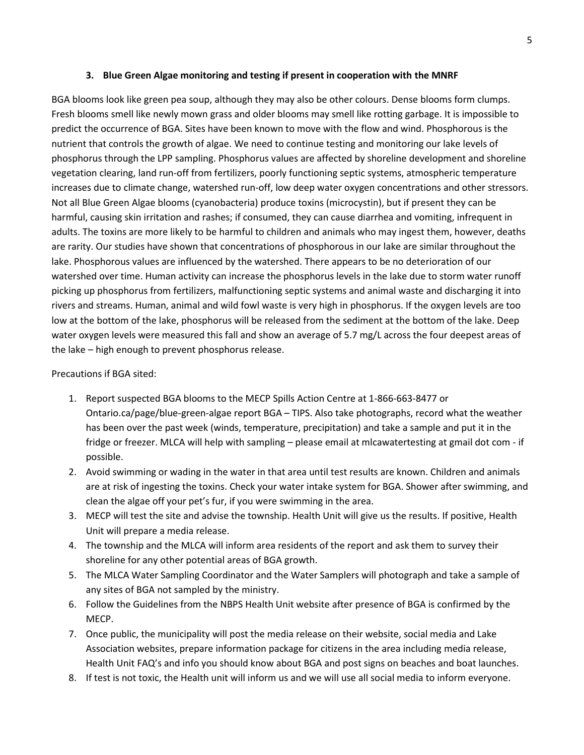#### **3. Blue Green Algae monitoring and testing if present in cooperation with the MNRF**

BGA blooms look like green pea soup, although they may also be other colours. Dense blooms form clumps. Fresh blooms smell like newly mown grass and older blooms may smell like rotting garbage. It is impossible to predict the occurrence of BGA. Sites have been known to move with the flow and wind. Phosphorous is the nutrient that controls the growth of algae. We need to continue testing and monitoring our lake levels of phosphorus through the LPP sampling. Phosphorus values are affected by shoreline development and shoreline vegetation clearing, land run-off from fertilizers, poorly functioning septic systems, atmospheric temperature increases due to climate change, watershed run-off, low deep water oxygen concentrations and other stressors. Not all Blue Green Algae blooms (cyanobacteria) produce toxins (microcystin), but if present they can be harmful, causing skin irritation and rashes; if consumed, they can cause diarrhea and vomiting, infrequent in adults. The toxins are more likely to be harmful to children and animals who may ingest them, however, deaths are rarity. Our studies have shown that concentrations of phosphorous in our lake are similar throughout the lake. Phosphorous values are influenced by the watershed. There appears to be no deterioration of our watershed over time. Human activity can increase the phosphorus levels in the lake due to storm water runoff picking up phosphorus from fertilizers, malfunctioning septic systems and animal waste and discharging it into rivers and streams. Human, animal and wild fowl waste is very high in phosphorus. If the oxygen levels are too low at the bottom of the lake, phosphorus will be released from the sediment at the bottom of the lake. Deep water oxygen levels were measured this fall and show an average of 5.7 mg/L across the four deepest areas of the lake – high enough to prevent phosphorus release.

### Precautions if BGA sited:

- 1. Report suspected BGA blooms to the MECP Spills Action Centre at 1-866-663-8477 or Ontario.ca/page/blue-green-algae report BGA – TIPS. Also take photographs, record what the weather has been over the past week (winds, temperature, precipitation) and take a sample and put it in the fridge or freezer. MLCA will help with sampling – please email at mlcawatertesting at gmail dot com - if possible.
- 2. Avoid swimming or wading in the water in that area until test results are known. Children and animals are at risk of ingesting the toxins. Check your water intake system for BGA. Shower after swimming, and clean the algae off your pet's fur, if you were swimming in the area.
- 3. MECP will test the site and advise the township. Health Unit will give us the results. If positive, Health Unit will prepare a media release.
- 4. The township and the MLCA will inform area residents of the report and ask them to survey their shoreline for any other potential areas of BGA growth.
- 5. The MLCA Water Sampling Coordinator and the Water Samplers will photograph and take a sample of any sites of BGA not sampled by the ministry.
- 6. Follow the Guidelines from the NBPS Health Unit website after presence of BGA is confirmed by the MECP.
- 7. Once public, the municipality will post the media release on their website, social media and Lake Association websites, prepare information package for citizens in the area including media release, Health Unit FAQ's and info you should know about BGA and post signs on beaches and boat launches.
- 8. If test is not toxic, the Health unit will inform us and we will use all social media to inform everyone.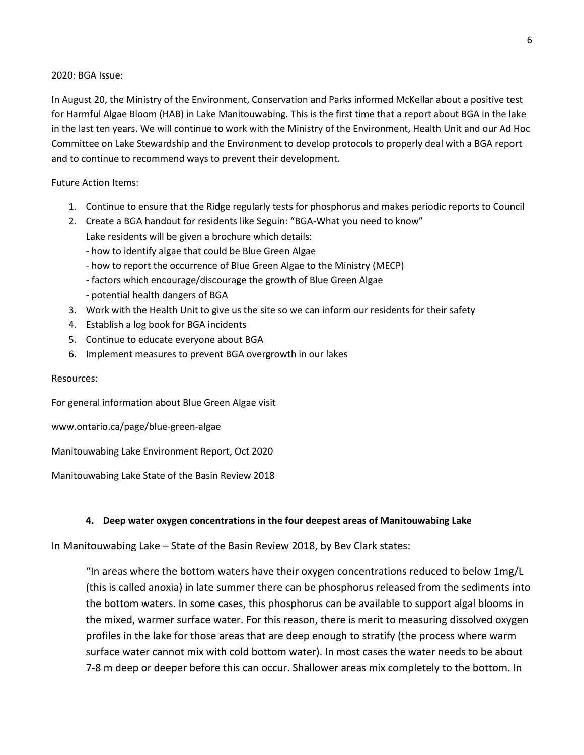#### 2020: BGA Issue:

In August 20, the Ministry of the Environment, Conservation and Parks informed McKellar about a positive test for Harmful Algae Bloom (HAB) in Lake Manitouwabing. This is the first time that a report about BGA in the lake in the last ten years. We will continue to work with the Ministry of the Environment, Health Unit and our Ad Hoc Committee on Lake Stewardship and the Environment to develop protocols to properly deal with a BGA report and to continue to recommend ways to prevent their development.

### Future Action Items:

- 1. Continue to ensure that the Ridge regularly tests for phosphorus and makes periodic reports to Council
- 2. Create a BGA handout for residents like Seguin: "BGA-What you need to know" Lake residents will be given a brochure which details:
	- how to identify algae that could be Blue Green Algae
	- how to report the occurrence of Blue Green Algae to the Ministry (MECP)
	- factors which encourage/discourage the growth of Blue Green Algae
	- potential health dangers of BGA
- 3. Work with the Health Unit to give us the site so we can inform our residents for their safety
- 4. Establish a log book for BGA incidents
- 5. Continue to educate everyone about BGA
- 6. Implement measures to prevent BGA overgrowth in our lakes

Resources:

For general information about Blue Green Algae visit

www.ontario.ca/page/blue-green-algae

Manitouwabing Lake Environment Report, Oct 2020

Manitouwabing Lake State of the Basin Review 2018

### **4. Deep water oxygen concentrations in the four deepest areas of Manitouwabing Lake**

In Manitouwabing Lake – State of the Basin Review 2018, by Bev Clark states:

"In areas where the bottom waters have their oxygen concentrations reduced to below 1mg/L (this is called anoxia) in late summer there can be phosphorus released from the sediments into the bottom waters. In some cases, this phosphorus can be available to support algal blooms in the mixed, warmer surface water. For this reason, there is merit to measuring dissolved oxygen profiles in the lake for those areas that are deep enough to stratify (the process where warm surface water cannot mix with cold bottom water). In most cases the water needs to be about 7-8 m deep or deeper before this can occur. Shallower areas mix completely to the bottom. In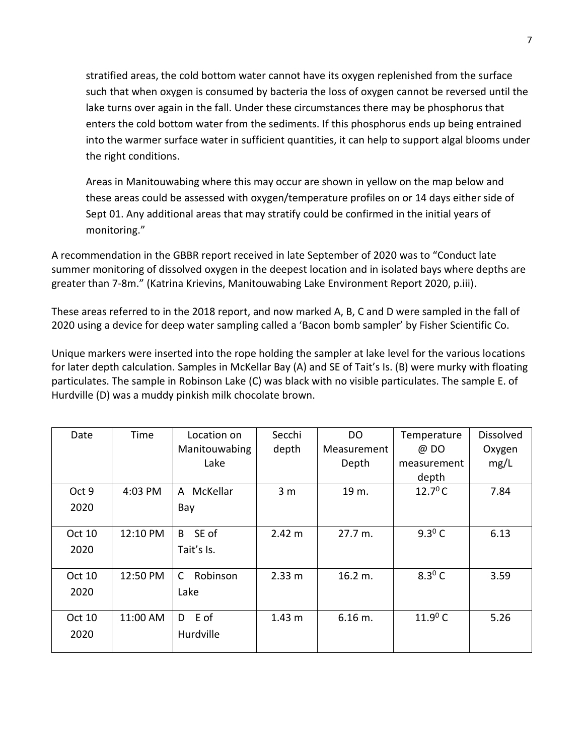stratified areas, the cold bottom water cannot have its oxygen replenished from the surface such that when oxygen is consumed by bacteria the loss of oxygen cannot be reversed until the lake turns over again in the fall. Under these circumstances there may be phosphorus that enters the cold bottom water from the sediments. If this phosphorus ends up being entrained into the warmer surface water in sufficient quantities, it can help to support algal blooms under the right conditions.

Areas in Manitouwabing where this may occur are shown in yellow on the map below and these areas could be assessed with oxygen/temperature profiles on or 14 days either side of Sept 01. Any additional areas that may stratify could be confirmed in the initial years of monitoring."

A recommendation in the GBBR report received in late September of 2020 was to "Conduct late summer monitoring of dissolved oxygen in the deepest location and in isolated bays where depths are greater than 7-8m." (Katrina Krievins, Manitouwabing Lake Environment Report 2020, p.iii).

These areas referred to in the 2018 report, and now marked A, B, C and D were sampled in the fall of 2020 using a device for deep water sampling called a 'Bacon bomb sampler' by Fisher Scientific Co.

Unique markers were inserted into the rope holding the sampler at lake level for the various locations for later depth calculation. Samples in McKellar Bay (A) and SE of Tait's Is. (B) were murky with floating particulates. The sample in Robinson Lake (C) was black with no visible particulates. The sample E. of Hurdville (D) was a muddy pinkish milk chocolate brown.

| Date   | Time     | Location on   | Secchi            | DO                 | Temperature       | <b>Dissolved</b> |
|--------|----------|---------------|-------------------|--------------------|-------------------|------------------|
|        |          | Manitouwabing | depth             | Measurement        | @ DO              | Oxygen           |
|        |          | Lake          |                   | Depth              | measurement       | mg/L             |
|        |          |               |                   |                    | depth             |                  |
| Oct 9  | 4:03 PM  | McKellar<br>A | 3 <sub>m</sub>    | 19 m.              | $12.7^{\circ}$ C  | 7.84             |
| 2020   |          | Bay           |                   |                    |                   |                  |
|        |          |               |                   |                    |                   |                  |
| Oct 10 | 12:10 PM | SE of<br>B.   | 2.42 m            | $27.7 \text{ m}$ . | $9.3^{\circ}$ C   | 6.13             |
| 2020   |          | Tait's Is.    |                   |                    |                   |                  |
|        |          |               |                   |                    |                   |                  |
| Oct 10 | 12:50 PM | Robinson<br>C | 2.33 m            | 16.2 m.            | $8.3^{\circ}$ C   | 3.59             |
| 2020   |          | Lake          |                   |                    |                   |                  |
|        |          |               |                   |                    |                   |                  |
| Oct 10 | 11:00 AM | E of<br>D     | 1.43 <sub>m</sub> | 6.16 m.            | 11.9 $^{\circ}$ C | 5.26             |
| 2020   |          | Hurdville     |                   |                    |                   |                  |
|        |          |               |                   |                    |                   |                  |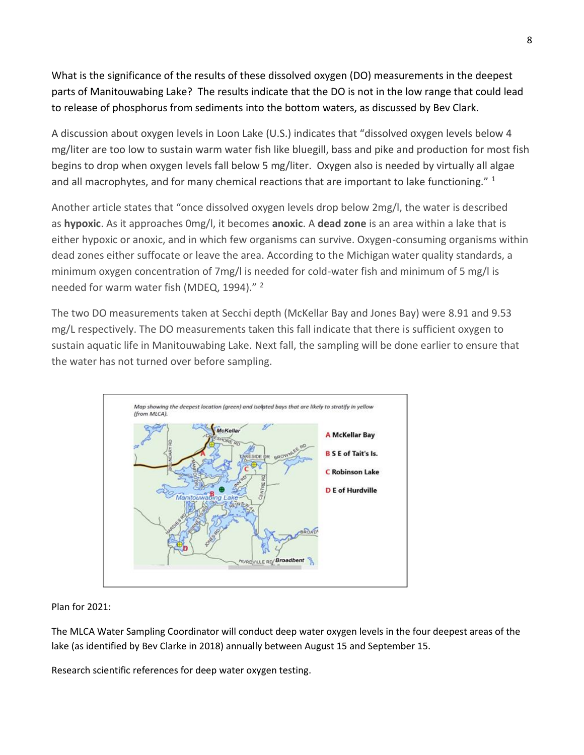What is the significance of the results of these dissolved oxygen (DO) measurements in the deepest parts of Manitouwabing Lake? The results indicate that the DO is not in the low range that could lead to release of phosphorus from sediments into the bottom waters, as discussed by Bev Clark.

A discussion about oxygen levels in Loon Lake (U.S.) indicates that "dissolved oxygen levels below 4 mg/liter are too low to sustain warm water fish like bluegill, bass and pike and production for most fish begins to drop when oxygen levels fall below 5 mg/liter. Oxygen also is needed by virtually all algae and all macrophytes, and for many chemical reactions that are important to lake functioning." 1

Another article states that "once dissolved oxygen levels drop below 2mg/l, the water is described as **hypoxic**. As it approaches 0mg/l, it becomes **anoxic**. A **dead zone** is an area within a lake that is either hypoxic or anoxic, and in which few organisms can survive. Oxygen-consuming organisms within dead zones either suffocate or leave the area. According to the Michigan water quality standards, a minimum oxygen concentration of 7mg/l is needed for cold-water fish and minimum of 5 mg/l is needed for warm water fish (MDEQ, 1994)." <sup>2</sup>

The two DO measurements taken at Secchi depth (McKellar Bay and Jones Bay) were 8.91 and 9.53 mg/L respectively. The DO measurements taken this fall indicate that there is sufficient oxygen to sustain aquatic life in Manitouwabing Lake. Next fall, the sampling will be done earlier to ensure that the water has not turned over before sampling.



## Plan for 2021:

The MLCA Water Sampling Coordinator will conduct deep water oxygen levels in the four deepest areas of the lake (as identified by Bev Clarke in 2018) annually between August 15 and September 15.

Research scientific references for deep water oxygen testing.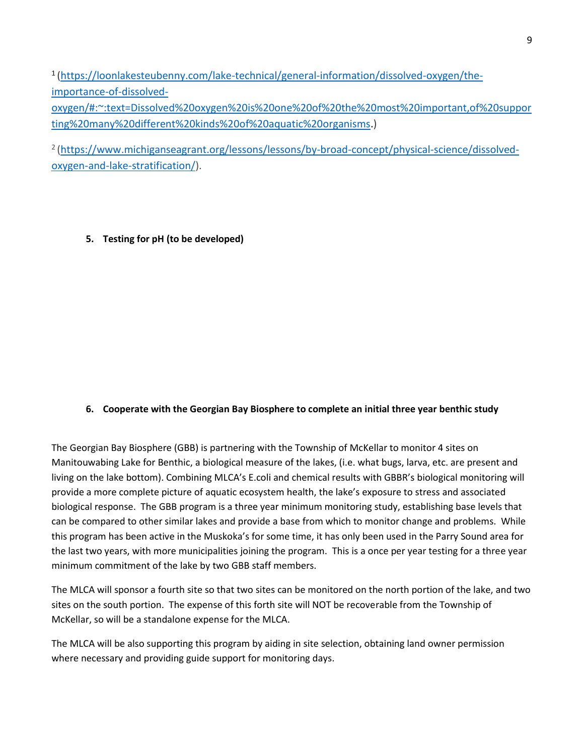1 [\(https://loonlakesteubenny.com/lake-technical/general-information/dissolved-oxygen/the](https://loonlakesteubenny.com/lake-technical/general-information/dissolved-oxygen/the-importance-of-dissolved-oxygen/#:~:text=Dissolved%20oxygen%20is%20one%20of%20the%20most%20important,of%20supporting%20many%20different%20kinds%20of%20aquatic%20organisms)[importance-of-dissolved](https://loonlakesteubenny.com/lake-technical/general-information/dissolved-oxygen/the-importance-of-dissolved-oxygen/#:~:text=Dissolved%20oxygen%20is%20one%20of%20the%20most%20important,of%20supporting%20many%20different%20kinds%20of%20aquatic%20organisms)[oxygen/#:~:text=Dissolved%20oxygen%20is%20one%20of%20the%20most%20important,of%20suppor](https://loonlakesteubenny.com/lake-technical/general-information/dissolved-oxygen/the-importance-of-dissolved-oxygen/#:~:text=Dissolved%20oxygen%20is%20one%20of%20the%20most%20important,of%20supporting%20many%20different%20kinds%20of%20aquatic%20organisms) [ting%20many%20different%20kinds%20of%20aquatic%20organisms.](https://loonlakesteubenny.com/lake-technical/general-information/dissolved-oxygen/the-importance-of-dissolved-oxygen/#:~:text=Dissolved%20oxygen%20is%20one%20of%20the%20most%20important,of%20supporting%20many%20different%20kinds%20of%20aquatic%20organisms))

2 [\(https://www.michiganseagrant.org/lessons/lessons/by-broad-concept/physical-science/dissolved](https://www.michiganseagrant.org/lessons/lessons/by-broad-concept/physical-science/dissolved-oxygen-and-lake-stratification/)[oxygen-and-lake-stratification/\)](https://www.michiganseagrant.org/lessons/lessons/by-broad-concept/physical-science/dissolved-oxygen-and-lake-stratification/).

**5. Testing for pH (to be developed)**

## **6. Cooperate with the Georgian Bay Biosphere to complete an initial three year benthic study**

The Georgian Bay Biosphere (GBB) is partnering with the Township of McKellar to monitor 4 sites on Manitouwabing Lake for Benthic, a biological measure of the lakes, (i.e. what bugs, larva, etc. are present and living on the lake bottom). Combining MLCA's E.coli and chemical results with GBBR's biological monitoring will provide a more complete picture of aquatic ecosystem health, the lake's exposure to stress and associated biological response. The GBB program is a three year minimum monitoring study, establishing base levels that can be compared to other similar lakes and provide a base from which to monitor change and problems. While this program has been active in the Muskoka's for some time, it has only been used in the Parry Sound area for the last two years, with more municipalities joining the program. This is a once per year testing for a three year minimum commitment of the lake by two GBB staff members.

The MLCA will sponsor a fourth site so that two sites can be monitored on the north portion of the lake, and two sites on the south portion. The expense of this forth site will NOT be recoverable from the Township of McKellar, so will be a standalone expense for the MLCA.

The MLCA will be also supporting this program by aiding in site selection, obtaining land owner permission where necessary and providing guide support for monitoring days.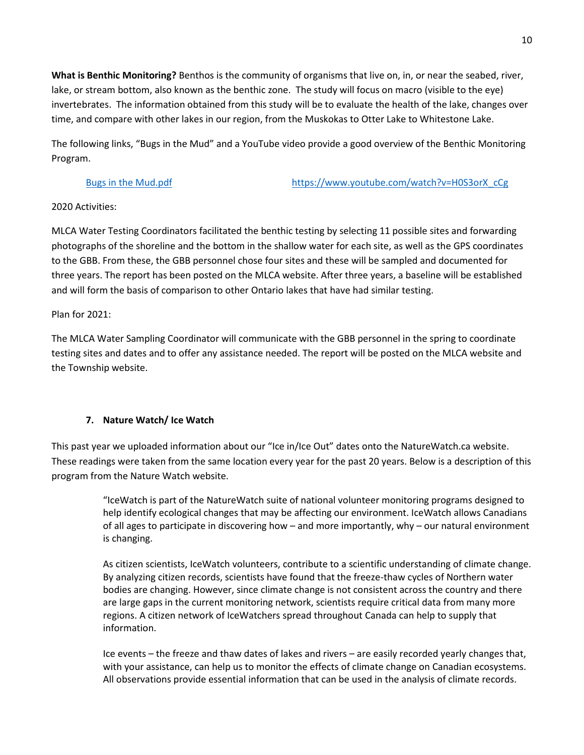**What is Benthic Monitoring?** Benthos is the community of organisms that live on, in, or near the seabed, river, lake, or stream bottom, also known as the benthic zone. The study will focus on macro (visible to the eye) invertebrates. The information obtained from this study will be to evaluate the health of the lake, changes over time, and compare with other lakes in our region, from the Muskokas to Otter Lake to Whitestone Lake.

The following links, "Bugs in the Mud" and a YouTube video provide a good overview of the Benthic Monitoring Program.

[Bugs in the Mud.pdf](https://mlca.ca/resources/documents/Agm%20Water%20reports/bugs%20in%20the%20mud.pdf) [https://www.youtube.com/watch?v=H0S3orX\\_cCg](https://www.youtube.com/watch?v=H0S3orX_cCg)

## 2020 Activities:

MLCA Water Testing Coordinators facilitated the benthic testing by selecting 11 possible sites and forwarding photographs of the shoreline and the bottom in the shallow water for each site, as well as the GPS coordinates to the GBB. From these, the GBB personnel chose four sites and these will be sampled and documented for three years. The report has been posted on the MLCA website. After three years, a baseline will be established and will form the basis of comparison to other Ontario lakes that have had similar testing.

Plan for 2021:

The MLCA Water Sampling Coordinator will communicate with the GBB personnel in the spring to coordinate testing sites and dates and to offer any assistance needed. The report will be posted on the MLCA website and the Township website.

# **7. Nature Watch/ Ice Watch**

This past year we uploaded information about our "Ice in/Ice Out" dates onto the NatureWatch.ca website. These readings were taken from the same location every year for the past 20 years. Below is a description of this program from the Nature Watch website.

> "IceWatch is part of the NatureWatch suite of national volunteer monitoring programs designed to help identify ecological changes that may be affecting our environment. IceWatch allows Canadians of all ages to participate in discovering how – and more importantly, why – our natural environment is changing.

> As citizen scientists, IceWatch volunteers, contribute to a scientific understanding of climate change. By analyzing citizen records, scientists have found that the freeze-thaw cycles of Northern water bodies are changing. However, since climate change is not consistent across the country and there are large gaps in the current monitoring network, scientists require critical data from many more regions. A citizen network of IceWatchers spread throughout Canada can help to supply that information.

> Ice events – the freeze and thaw dates of lakes and rivers – are easily recorded yearly changes that, with your assistance, can help us to monitor the effects of climate change on Canadian ecosystems. All observations provide essential information that can be used in the analysis of climate records.